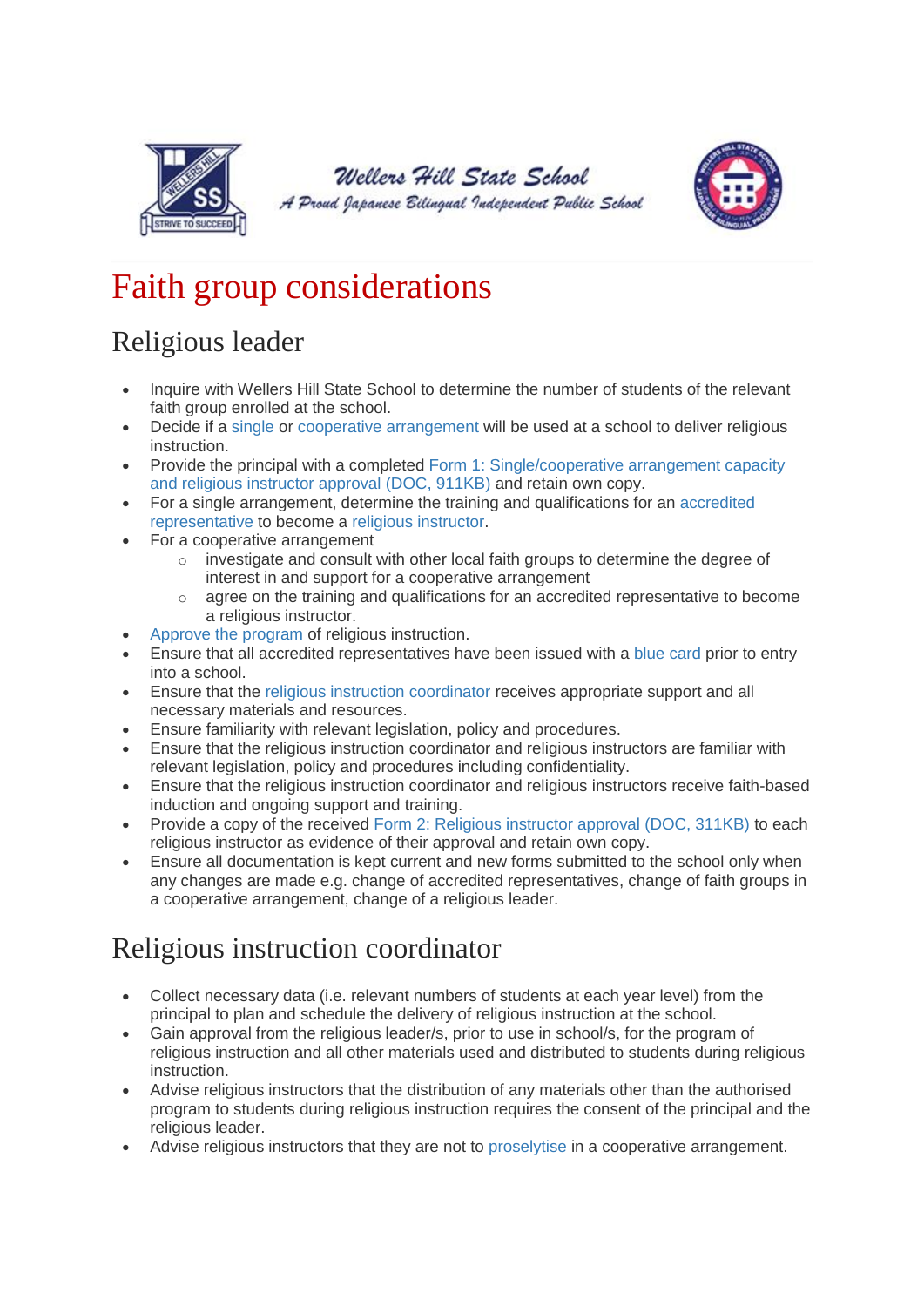

#### Wellers Hill State School

A Proud Japanese Bilingual Independent Public School



# Faith group considerations

## Religious leader

- Inquire with Wellers Hill State School to determine the number of students of the relevant faith group enrolled at the school.
- Decide if a [single](https://education.qld.gov.au/parents-and-carers/school-information/school-operations/policy-statement/definitions) or [cooperative arrangement](https://education.qld.gov.au/parents-and-carers/school-information/school-operations/policy-statement/definitions) will be used at a school to deliver religious instruction.
- Provide the principal with a completed [Form 1: Single/cooperative arrangement capacity](https://education.qld.gov.au/parents/Documents/form1-single-instructor-approval.doc)  [and religious instructor approval \(DOC, 911KB\)](https://education.qld.gov.au/parents/Documents/form1-single-instructor-approval.doc) and retain own copy.
- For a single arrangement, determine the training and qualifications for an [accredited](https://education.qld.gov.au/parents-and-carers/school-information/school-operations/policy-statement/definitions)  [representative](https://education.qld.gov.au/parents-and-carers/school-information/school-operations/policy-statement/definitions) to become a [religious instructor.](https://education.qld.gov.au/parents-and-carers/school-information/school-operations/policy-statement/definitions)
- For a cooperative arrangement
	- $\circ$  investigate and consult with other local faith groups to determine the degree of interest in and support for a cooperative arrangement
	- $\circ$  agree on the training and qualifications for an accredited representative to become a religious instructor.
- [Approve the program](https://education.qld.gov.au/parents-and-carers/school-information/school-operations/policy-statement/definitions) of religious instruction.
- Ensure that all accredited representatives have been issued with a [blue card](https://education.qld.gov.au/parents-and-carers/school-information/school-operations/policy-statement/definitions) prior to entry into a school.
- Ensure that the [religious instruction coordinator](https://education.qld.gov.au/parents-and-carers/school-information/school-operations/policy-statement/definitions) receives appropriate support and all necessary materials and resources.
- Ensure familiarity with relevant legislation, policy and procedures.
- Ensure that the religious instruction coordinator and religious instructors are familiar with relevant legislation, policy and procedures including confidentiality.
- Ensure that the religious instruction coordinator and religious instructors receive faith-based induction and ongoing support and training.
- Provide a copy of the received [Form 2: Religious instructor approval \(DOC, 311KB\)](https://education.qld.gov.au/parents/Documents/form2-religious-instructor-approval.doc) to each religious instructor as evidence of their approval and retain own copy.
- Ensure all documentation is kept current and new forms submitted to the school only when any changes are made e.g. change of accredited representatives, change of faith groups in a cooperative arrangement, change of a religious leader.

#### Religious instruction coordinator

- Collect necessary data (i.e. relevant numbers of students at each year level) from the principal to plan and schedule the delivery of religious instruction at the school.
- Gain approval from the religious leader/s, prior to use in school/s, for the program of religious instruction and all other materials used and distributed to students during religious instruction.
- Advise religious instructors that the distribution of any materials other than the authorised program to students during religious instruction requires the consent of the principal and the religious leader.
- Advise religious instructors that they are not to [proselytise](https://education.qld.gov.au/parents-and-carers/school-information/school-operations/policy-statement/definitions) in a cooperative arrangement.